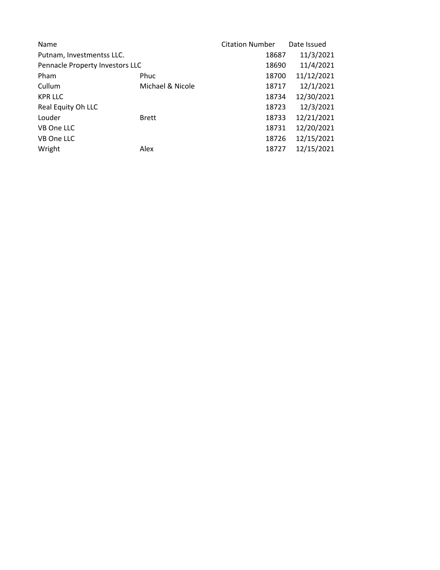| Name                            |                  | <b>Citation Number</b> | Date Issued |
|---------------------------------|------------------|------------------------|-------------|
| Putnam, Investmentss LLC.       | 18687            | 11/3/2021              |             |
| Pennacle Property Investors LLC | 18690            | 11/4/2021              |             |
| Pham                            | Phuc             | 18700                  | 11/12/2021  |
| Cullum                          | Michael & Nicole | 18717                  | 12/1/2021   |
| <b>KPR LLC</b>                  |                  | 18734                  | 12/30/2021  |
| Real Equity Oh LLC              |                  | 18723                  | 12/3/2021   |
| Louder                          | <b>Brett</b>     | 18733                  | 12/21/2021  |
| VB One LLC                      |                  | 18731                  | 12/20/2021  |
| VB One LLC                      |                  | 18726                  | 12/15/2021  |
| Wright                          | Alex             | 18727                  | 12/15/2021  |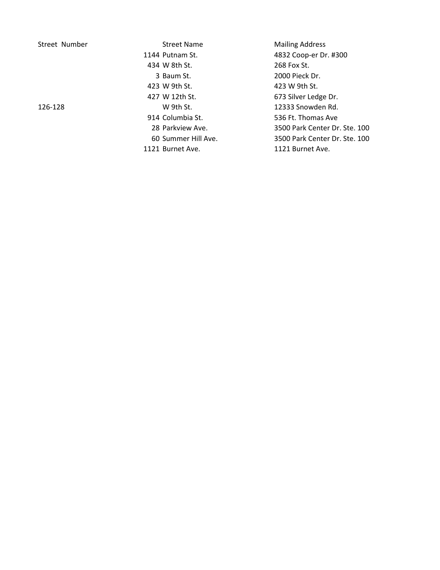| Street Number | <b>Street Name</b>  | <b>Mailing Address</b>        |
|---------------|---------------------|-------------------------------|
|               | 1144 Putnam St.     | 4832 Coop-er Dr. #300         |
|               | 434 W 8th St.       | 268 Fox St.                   |
|               | 3 Baum St.          | 2000 Pieck Dr.                |
|               | 423 W 9th St.       | 423 W 9th St.                 |
|               | 427 W 12th St.      | 673 Silver Ledge Dr.          |
| 126-128       | W 9th St.           | 12333 Snowden Rd.             |
|               | 914 Columbia St.    | 536 Ft. Thomas Ave            |
|               | 28 Parkview Ave.    | 3500 Park Center Dr. Ste. 100 |
|               | 60 Summer Hill Ave. | 3500 Park Center Dr. Ste. 100 |
|               | 1121 Burnet Ave.    | 1121 Burnet Ave.              |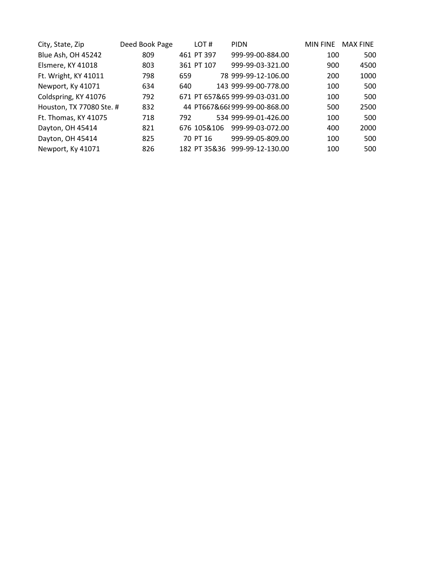| City, State, Zip          | Deed Book Page |     | LOT#         | <b>PIDN</b>                    | <b>MIN FINE</b> | <b>MAX FINE</b> |
|---------------------------|----------------|-----|--------------|--------------------------------|-----------------|-----------------|
| <b>Blue Ash, OH 45242</b> | 809            |     | 461 PT 397   | 999-99-00-884.00               | 100             | 500             |
| Elsmere, KY 41018         | 803            |     | 361 PT 107   | 999-99-03-321.00               | 900             | 4500            |
| Ft. Wright, KY 41011      | 798            | 659 |              | 78 999-99-12-106.00            | 200             | 1000            |
| Newport, Ky 41071         | 634            | 640 |              | 143 999-99-00-778.00           | 100             | 500             |
| Coldspring, KY 41076      | 792            |     |              | 671 PT 657&65 999-99-03-031.00 | 100             | 500             |
| Houston, TX 77080 Ste. #  | 832            |     |              | 44 PT667&668999-99-00-868.00   | 500             | 2500            |
| Ft. Thomas, KY 41075      | 718            | 792 |              | 534 999-99-01-426.00           | 100             | 500             |
| Dayton, OH 45414          | 821            |     | 676 105&106  | 999-99-03-072.00               | 400             | 2000            |
| Dayton, OH 45414          | 825            |     | 70 PT 16     | 999-99-05-809.00               | 100             | 500             |
| Newport, Ky 41071         | 826            |     | 182 PT 35&36 | 999-99-12-130.00               | 100             | 500             |
|                           |                |     |              |                                |                 |                 |